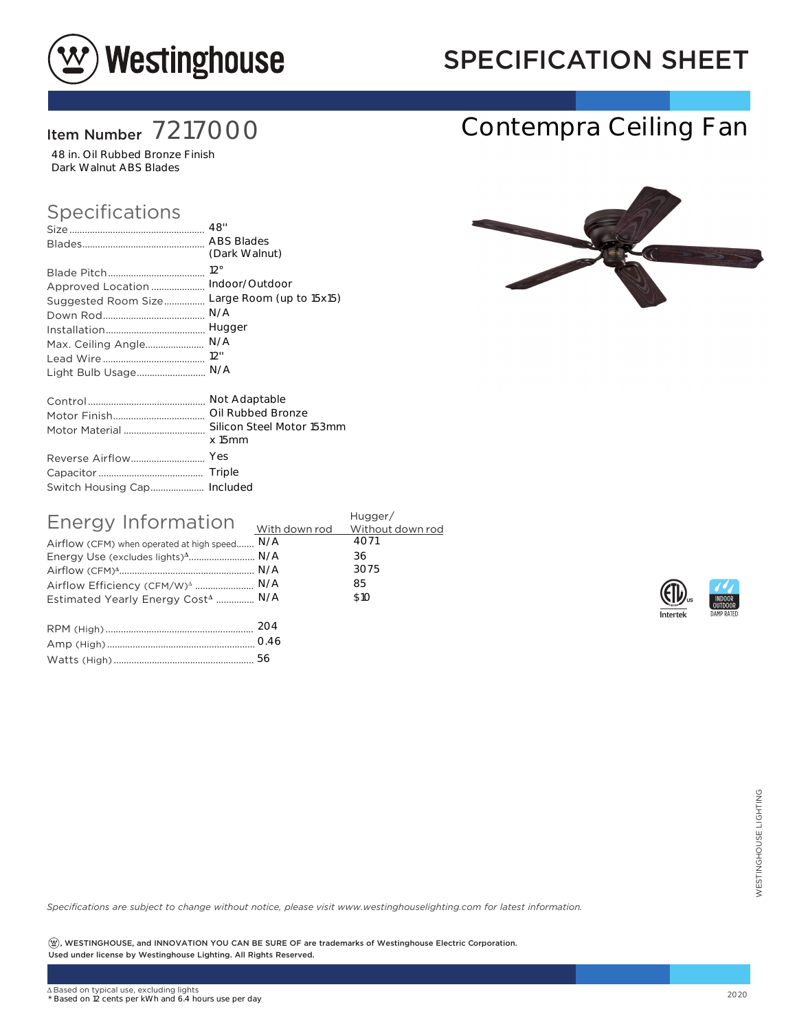

## SPECIFICATION SHEET

Contempra Ceiling Fan

### Item Number 7217000

48 in. Oil Rubbed Bronze Finish Dark Walnut ABS Blades

#### Specifications

|                     | <b>ABS Blades</b>         |
|---------------------|---------------------------|
|                     | (Dark Walnut)             |
|                     | $12^{\circ}$              |
| Approved Location   | Indoor/Outdoor            |
| Suggested Room Size | Large Room (up to 15x15)  |
|                     | N/A                       |
|                     | Hugger                    |
| Max. Ceiling Angle  | N/A                       |
|                     | 12"                       |
| Light Bulb Usage    | N/A                       |
|                     | Not Adaptable             |
|                     |                           |
| Motor Material      | Silicon Steel Motor 153mm |
|                     | $x$ 15 $mm$               |
| Reverse Airflow     | Yes                       |
|                     | Triple                    |
|                     |                           |

| Energy Information                            | Hugger/ |      |  |  |
|-----------------------------------------------|---------|------|--|--|
|                                               |         |      |  |  |
| Airflow (CFM) when operated at high speed N/A |         | 4071 |  |  |
| Energy Use (excludes lights) <sup>4</sup> N/A |         | 36   |  |  |
|                                               |         | 3075 |  |  |
| Airflow Efficiency (CFM/W) <sup>4</sup> N/A   |         | 85   |  |  |
| Estimated Yearly Energy Cost <sup>4</sup> N/A |         | \$10 |  |  |
|                                               |         |      |  |  |
|                                               |         |      |  |  |
|                                               |         |      |  |  |

| $\cup$ . $\pm$ $\cup$ |
|-----------------------|
|                       |





*Specifications are subject to change without notice, please visit www.westinghouselighting.com for latest information.*

 $\left( \mathfrak{B}\right)$ , WESTINGHOUSE, and INNOVATION YOU CAN BE SURE OF are trademarks of Westinghouse Electric Corporation. Used under license by Westinghouse Lighting. All Rights Reserved. 56<br>Cotice, please visit www.westinghouselighting.com for latest information.<br>2020<br>Support of the trademarks of Westinghouse Electric Corporation.<br>2020